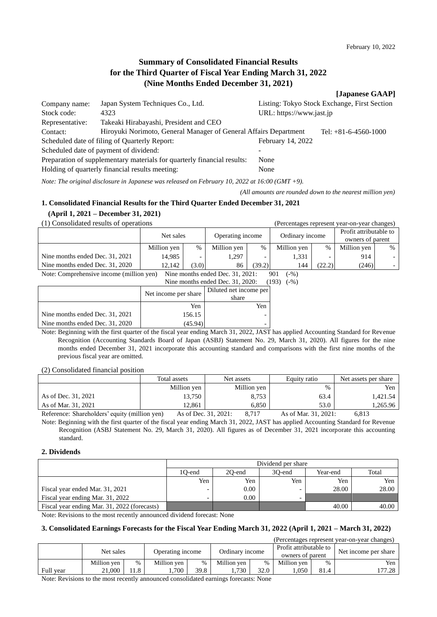# **Summary of Consolidated Financial Results for the Third Quarter of Fiscal Year Ending March 31, 2022 (Nine Months Ended December 31, 2021)**

#### **[Japanese GAAP]**

owners of parent

| Company name:   | Japan System Techniques Co., Ltd.                                       |                          | Listing: Tokyo Stock Exchange, First Section |
|-----------------|-------------------------------------------------------------------------|--------------------------|----------------------------------------------|
| Stock code:     | 4323                                                                    | URL: https://www.jast.jp |                                              |
| Representative: | Takeaki Hirabayashi, President and CEO                                  |                          |                                              |
| Contact:        | Hiroyuki Norimoto, General Manager of General Affairs Department        |                          | Tel: $+81-6-4560-1000$                       |
|                 | Scheduled date of filing of Quarterly Report:                           | February 14, 2022        |                                              |
|                 | Scheduled date of payment of dividend:                                  |                          |                                              |
|                 | Preparation of supplementary materials for quarterly financial results: | None                     |                                              |
|                 | Holding of quarterly financial results meeting:                         | None                     |                                              |

*Note: The original disclosure in Japanese was released on February 10, 2022 at 16:00 (GMT +9).*

*(All amounts are rounded down to the nearest million yen)*

# **1. Consolidated Financial Results for the Third Quarter Ended December 31, 2021**

**(April 1, 2021 – December 31, 2021)**

(1) Consolidated results of operations (Percentages represent year-on-year changes) Net sales Operating income Ordinary income Profit attributable to Million yen  $\begin{array}{c|c|c|c|c|c|c|c} \hline \text{Million yen} & \frac{\%}{\%} & \text{Million yen} & \frac{\%}{\%} & \text{Million yen} & \frac{\%}{\%} \end{array}$ Nine months ended Dec. 31, 2021 14,985 - 1,297 - 1,331 - 914

Nine months ended Dec. 31, 2020 | 12,142 (3.0) 86 (39.2) 144 (22.2) (246) Note: Comprehensive income (million yen) Nine months ended Dec. 31, 2021: 901 (-%) Nine months ended Dec. 31, 2020: (193) (-%)

|                                 | $1.1118$ invitable virtual provided and $1.01$ |                                 |  |  |
|---------------------------------|------------------------------------------------|---------------------------------|--|--|
|                                 | Net income per share                           | Diluted net income per<br>share |  |  |
|                                 | Yen                                            | Yen                             |  |  |
| Nine months ended Dec. 31, 2021 | 156.15                                         |                                 |  |  |
| Nine months ended Dec. 31, 2020 | (45.94                                         |                                 |  |  |

Note: Beginning with the first quarter of the fiscal year ending March 31, 2022, JAST has applied Accounting Standard for Revenue Recognition (Accounting Standards Board of Japan (ASBJ) Statement No. 29, March 31, 2020). All figures for the nine months ended December 31, 2021 incorporate this accounting standard and comparisons with the first nine months of the previous fiscal year are omitted.

(2) Consolidated financial position

|                                                | Total assets | Net assets       | Equity ratio            | Net assets per share |
|------------------------------------------------|--------------|------------------|-------------------------|----------------------|
|                                                | Million ven  | Million yen      | $\%$                    | Yen                  |
| As of Dec. 31, 2021                            | 13,750       | 8,753            | 63.4                    | 1.421.54             |
| As of Mar. 31, 2021                            | 12.861       | 6.850            | 53.0                    | 1,265.96             |
| $\cdot$ 11 $\cdot$<br>$\mathbf{r}$<br>$\sim$ 1 | $\mathbf{r}$ | 0.717<br>21.0021 | 21.0021<br>$C \times T$ | $\sim$ 0.10          |

Reference: Shareholders' equity (million yen) As of Dec. 31, 2021: 8,717 As of Mar. 31, 2021: 6,813 Note: Beginning with the first quarter of the fiscal year ending March 31, 2022, JAST has applied Accounting Standard for Revenue Recognition (ASBJ Statement No. 29, March 31, 2020). All figures as of December 31, 2021 incorporate this accounting standard.

### **2. Dividends**

|                                              | Dividend per share |                                       |     |       |       |  |  |  |
|----------------------------------------------|--------------------|---------------------------------------|-----|-------|-------|--|--|--|
|                                              | 1O-end             | Total<br>30-end<br>20-end<br>Year-end |     |       |       |  |  |  |
|                                              | Yen                | Yen                                   | Yen | Yen   | Yen   |  |  |  |
| Fiscal year ended Mar. 31, 2021              |                    | 0.00                                  | -   | 28.00 | 28.00 |  |  |  |
| Fiscal year ending Mar. 31, 2022             |                    | 0.00                                  | -   |       |       |  |  |  |
| Fiscal year ending Mar. 31, 2022 (forecasts) |                    |                                       |     | 40.00 | 40.00 |  |  |  |

Note: Revisions to the most recently announced dividend forecast: None

### **3. Consolidated Earnings Forecasts for the Fiscal Year Ending March 31, 2022 (April 1, 2021 – March 31, 2022)**

| (Percentages represent year-on-year changes) |             |      |             |                                     |             |                                            |             |                      |        |
|----------------------------------------------|-------------|------|-------------|-------------------------------------|-------------|--------------------------------------------|-------------|----------------------|--------|
|                                              | Net sales   |      |             | Ordinary income<br>Operating income |             | Profit attributable to<br>owners of parent |             | Net income per share |        |
|                                              | Million yen | %    | Million ven | %                                   | Million ven | $\frac{0}{0}$                              | Million ven | %                    | Yen    |
| Full year                                    | 21.000      | .1.8 | .700        | 39.8                                | .730        | 32.0                                       | .050        | 81.4                 | 177.28 |

Note: Revisions to the most recently announced consolidated earnings forecasts: None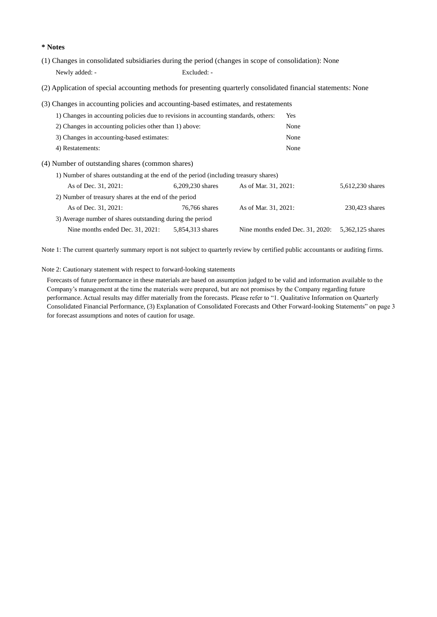**\* Notes**

- (1) Changes in consolidated subsidiaries during the period (changes in scope of consolidation): None Newly added: - Excluded: -
- (2) Application of special accounting methods for presenting quarterly consolidated financial statements: None
- (3) Changes in accounting policies and accounting-based estimates, and restatements

| 1) Changes in accounting policies due to revisions in accounting standards, others: | Yes  |
|-------------------------------------------------------------------------------------|------|
| 2) Changes in accounting policies other than 1) above:                              | None |
| 3) Changes in accounting-based estimates:                                           | None |
| 4) Restatements:                                                                    | None |

- (4) Number of outstanding shares (common shares)
	- 1) Number of shares outstanding at the end of the period (including treasury shares)

| As of Dec. 31, 2021:                                      | 6,209,230 shares | As of Mar. 31, 2021:             | 5,612,230 shares |
|-----------------------------------------------------------|------------------|----------------------------------|------------------|
| 2) Number of treasury shares at the end of the period     |                  |                                  |                  |
| As of Dec. 31, 2021:                                      | 76,766 shares    | As of Mar. 31, 2021:             | 230,423 shares   |
| 3) Average number of shares outstanding during the period |                  |                                  |                  |
| Nine months ended Dec. 31, 2021:                          | 5,854,313 shares | Nine months ended Dec. 31, 2020: | 5,362,125 shares |

Note 1: The current quarterly summary report is not subject to quarterly review by certified public accountants or auditing firms.

Note 2: Cautionary statement with respect to forward-looking statements

Forecasts of future performance in these materials are based on assumption judged to be valid and information available to the Company's management at the time the materials were prepared, but are not promises by the Company regarding future performance. Actual results may differ materially from the forecasts. Please refer to "1. Qualitative Information on Quarterly Consolidated Financial Performance, (3) Explanation of Consolidated Forecasts and Other Forward-looking Statements" on page 3 for forecast assumptions and notes of caution for usage.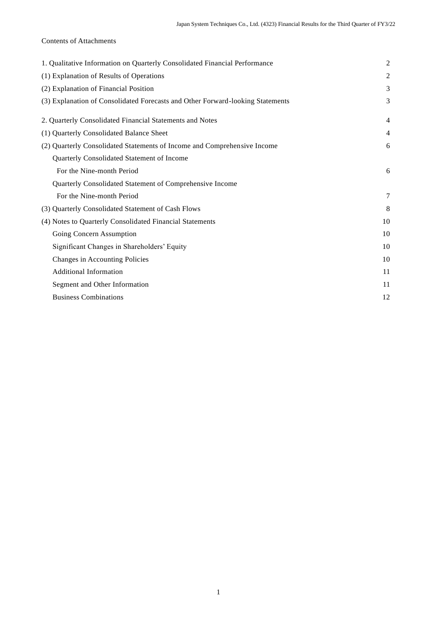# Contents of Attachments

| 1. Qualitative Information on Quarterly Consolidated Financial Performance     | $\overline{c}$ |
|--------------------------------------------------------------------------------|----------------|
| (1) Explanation of Results of Operations                                       | 2              |
| (2) Explanation of Financial Position                                          | 3              |
| (3) Explanation of Consolidated Forecasts and Other Forward-looking Statements | 3              |
| 2. Quarterly Consolidated Financial Statements and Notes                       | $\overline{4}$ |
| (1) Quarterly Consolidated Balance Sheet                                       | $\overline{4}$ |
| (2) Quarterly Consolidated Statements of Income and Comprehensive Income       | 6              |
| Quarterly Consolidated Statement of Income                                     |                |
| For the Nine-month Period                                                      | 6              |
| Quarterly Consolidated Statement of Comprehensive Income                       |                |
| For the Nine-month Period                                                      | 7              |
| (3) Quarterly Consolidated Statement of Cash Flows                             | 8              |
| (4) Notes to Quarterly Consolidated Financial Statements                       | 10             |
| Going Concern Assumption                                                       | 10             |
| Significant Changes in Shareholders' Equity                                    | 10             |
| Changes in Accounting Policies                                                 | 10             |
| <b>Additional Information</b>                                                  | 11             |
| Segment and Other Information                                                  | 11             |
| <b>Business Combinations</b>                                                   | 12             |
|                                                                                |                |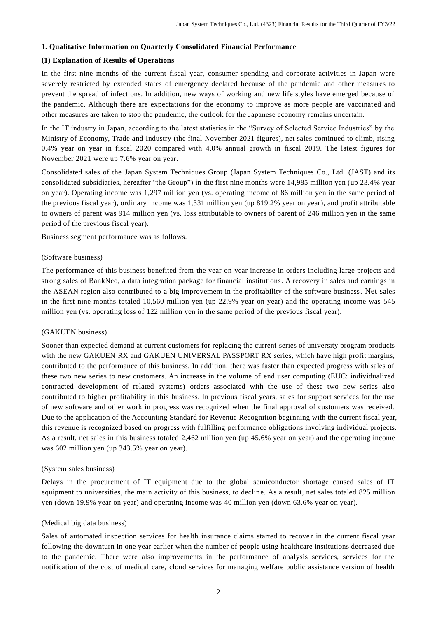### **1. Qualitative Information on Quarterly Consolidated Financial Performance**

# **(1) Explanation of Results of Operations**

In the first nine months of the current fiscal year, consumer spending and corporate activities in Japan were severely restricted by extended states of emergency declared because of the pandemic and other measures to prevent the spread of infections. In addition, new ways of working and new life styles have emerged because of the pandemic. Although there are expectations for the economy to improve as more people are vaccinated and other measures are taken to stop the pandemic, the outlook for the Japanese economy remains uncertain.

In the IT industry in Japan, according to the latest statistics in the "Survey of Selected Service Industries" by the Ministry of Economy, Trade and Industry (the final November 2021 figures), net sales continued to climb, rising 0.4% year on year in fiscal 2020 compared with 4.0% annual growth in fiscal 2019. The latest figures for November 2021 were up 7.6% year on year.

Consolidated sales of the Japan System Techniques Group (Japan System Techniques Co., Ltd. (JAST) and its consolidated subsidiaries, hereafter "the Group") in the first nine months were 14,985 million yen (up 23.4% year on year). Operating income was 1,297 million yen (vs. operating income of 86 million yen in the same period of the previous fiscal year), ordinary income was 1,331 million yen (up 819.2% year on year), and profit attributable to owners of parent was 914 million yen (vs. loss attributable to owners of parent of 246 million yen in the same period of the previous fiscal year).

Business segment performance was as follows.

#### (Software business)

The performance of this business benefited from the year-on-year increase in orders including large projects and strong sales of BankNeo, a data integration package for financial institutions. A recovery in sales and earnings in the ASEAN region also contributed to a big improvement in the profitability of the software business. Net sales in the first nine months totaled 10,560 million yen (up 22.9% year on year) and the operating income was 545 million yen (vs. operating loss of 122 million yen in the same period of the previous fiscal year).

### (GAKUEN business)

Sooner than expected demand at current customers for replacing the current series of university program products with the new GAKUEN RX and GAKUEN UNIVERSAL PASSPORT RX series, which have high profit margins, contributed to the performance of this business. In addition, there was faster than expected progress with sales of these two new series to new customers. An increase in the volume of end user computing (EUC: individualized contracted development of related systems) orders associated with the use of these two new series also contributed to higher profitability in this business. In previous fiscal years, sales for support services for the use of new software and other work in progress was recognized when the final approval of customers was received. Due to the application of the Accounting Standard for Revenue Recognition beginning with the current fiscal year, this revenue is recognized based on progress with fulfilling performance obligations involving individual projects. As a result, net sales in this business totaled 2,462 million yen (up 45.6% year on year) and the operating income was 602 million yen (up 343.5% year on year).

### (System sales business)

Delays in the procurement of IT equipment due to the global semiconductor shortage caused sales of IT equipment to universities, the main activity of this business, to decline. As a result, net sales totaled 825 million yen (down 19.9% year on year) and operating income was 40 million yen (down 63.6% year on year).

### (Medical big data business)

Sales of automated inspection services for health insurance claims started to recover in the current fiscal year following the downturn in one year earlier when the number of people using healthcare institutions decreased due to the pandemic. There were also improvements in the performance of analysis services, services for the notification of the cost of medical care, cloud services for managing welfare public assistance version of health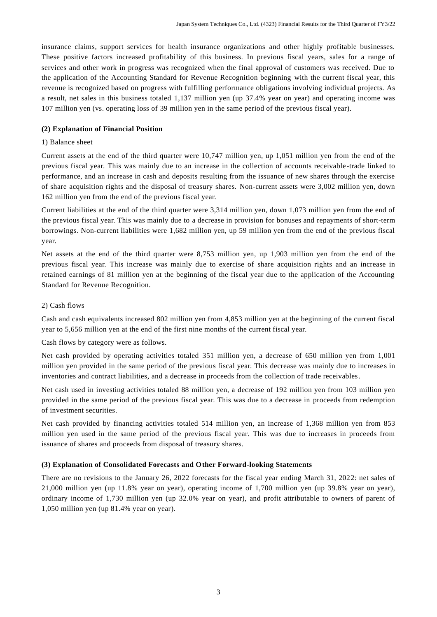insurance claims, support services for health insurance organizations and other highly profitable businesses. These positive factors increased profitability of this business. In previous fiscal years, sales for a range of services and other work in progress was recognized when the final approval of customers was received. Due to the application of the Accounting Standard for Revenue Recognition beginning with the current fiscal year, this revenue is recognized based on progress with fulfilling performance obligations involving individual projects. As a result, net sales in this business totaled 1,137 million yen (up 37.4% year on year) and operating income was 107 million yen (vs. operating loss of 39 million yen in the same period of the previous fiscal year).

# **(2) Explanation of Financial Position**

### 1) Balance sheet

Current assets at the end of the third quarter were 10,747 million yen, up 1,051 million yen from the end of the previous fiscal year. This was mainly due to an increase in the collection of accounts receivable -trade linked to performance, and an increase in cash and deposits resulting from the issuance of new shares through the exercise of share acquisition rights and the disposal of treasury shares. Non-current assets were 3,002 million yen, down 162 million yen from the end of the previous fiscal year.

Current liabilities at the end of the third quarter were 3,314 million yen, down 1,073 million yen from the end of the previous fiscal year. This was mainly due to a decrease in provision for bonuses and repayments of short-term borrowings. Non-current liabilities were 1,682 million yen, up 59 million yen from the end of the previous fiscal year.

Net assets at the end of the third quarter were 8,753 million yen, up 1,903 million yen from the end of the previous fiscal year. This increase was mainly due to exercise of share acquisition rights and an increase in retained earnings of 81 million yen at the beginning of the fiscal year due to the application of the Accounting Standard for Revenue Recognition.

### 2) Cash flows

Cash and cash equivalents increased 802 million yen from 4,853 million yen at the beginning of the current fiscal year to 5,656 million yen at the end of the first nine months of the current fiscal year.

Cash flows by category were as follows.

Net cash provided by operating activities totaled 351 million yen, a decrease of 650 million yen from 1,001 million yen provided in the same period of the previous fiscal year. This decrease was mainly due to increases in inventories and contract liabilities, and a decrease in proceeds from the collection of trade receivables.

Net cash used in investing activities totaled 88 million yen, a decrease of 192 million yen from 103 million yen provided in the same period of the previous fiscal year. This was due to a decrease in proceeds from redemption of investment securities.

Net cash provided by financing activities totaled 514 million yen, an increase of 1,368 million yen from 853 million yen used in the same period of the previous fiscal year. This was due to increases in proceeds from issuance of shares and proceeds from disposal of treasury shares.

### **(3) Explanation of Consolidated Forecasts and Other Forward-looking Statements**

There are no revisions to the January 26, 2022 forecasts for the fiscal year ending March 31, 2022: net sales of 21,000 million yen (up 11.8% year on year), operating income of 1,700 million yen (up 39.8% year on year), ordinary income of 1,730 million yen (up 32.0% year on year), and profit attributable to owners of parent of 1,050 million yen (up 81.4% year on year).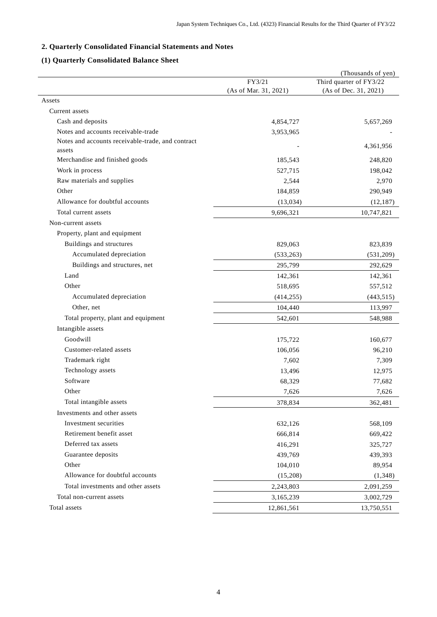# **2. Quarterly Consolidated Financial Statements and Notes**

# **(1) Quarterly Consolidated Balance Sheet**

|                                                   |                       | (Thousands of yen)      |
|---------------------------------------------------|-----------------------|-------------------------|
|                                                   | FY3/21                | Third quarter of FY3/22 |
|                                                   | (As of Mar. 31, 2021) | (As of Dec. 31, 2021)   |
| Assets                                            |                       |                         |
| Current assets                                    |                       |                         |
| Cash and deposits                                 | 4,854,727             | 5,657,269               |
| Notes and accounts receivable-trade               | 3,953,965             |                         |
| Notes and accounts receivable-trade, and contract |                       | 4,361,956               |
| assets<br>Merchandise and finished goods          | 185,543               | 248,820                 |
| Work in process                                   |                       |                         |
| Raw materials and supplies                        | 527,715               | 198,042                 |
| Other                                             | 2,544                 | 2,970                   |
|                                                   | 184,859               | 290,949                 |
| Allowance for doubtful accounts                   | (13,034)              | (12, 187)               |
| Total current assets                              | 9,696,321             | 10,747,821              |
| Non-current assets                                |                       |                         |
| Property, plant and equipment                     |                       |                         |
| Buildings and structures                          | 829,063               | 823,839                 |
| Accumulated depreciation                          | (533, 263)            | (531,209)               |
| Buildings and structures, net                     | 295,799               | 292,629                 |
| Land                                              | 142,361               | 142,361                 |
| Other                                             | 518,695               | 557,512                 |
| Accumulated depreciation                          | (414, 255)            | (443, 515)              |
| Other, net                                        | 104,440               | 113,997                 |
| Total property, plant and equipment               | 542,601               | 548,988                 |
| Intangible assets                                 |                       |                         |
| Goodwill                                          | 175,722               | 160,677                 |
| Customer-related assets                           | 106,056               | 96,210                  |
| Trademark right                                   | 7,602                 | 7,309                   |
| Technology assets                                 | 13,496                | 12,975                  |
| Software                                          | 68,329                | 77,682                  |
| Other                                             | 7,626                 | 7,626                   |
| Total intangible assets                           | 378,834               | 362,481                 |
| Investments and other assets                      |                       |                         |
| Investment securities                             | 632,126               | 568,109                 |
| Retirement benefit asset                          | 666,814               | 669,422                 |
| Deferred tax assets                               | 416,291               | 325,727                 |
| Guarantee deposits                                | 439,769               | 439,393                 |
| Other                                             | 104,010               | 89,954                  |
| Allowance for doubtful accounts                   | (15,208)              | (1,348)                 |
| Total investments and other assets                | 2,243,803             | 2,091,259               |
| Total non-current assets                          | 3,165,239             | 3,002,729               |
| Total assets                                      | 12,861,561            | 13,750,551              |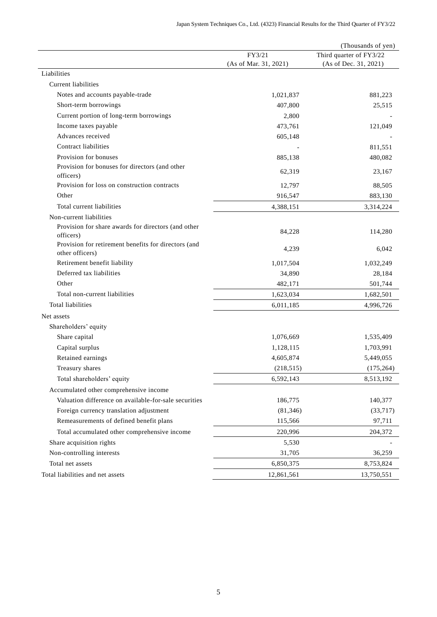|                                                                         |                       | (Thousands of yen)      |
|-------------------------------------------------------------------------|-----------------------|-------------------------|
|                                                                         | FY3/21                | Third quarter of FY3/22 |
|                                                                         | (As of Mar. 31, 2021) | (As of Dec. 31, 2021)   |
| Liabilities                                                             |                       |                         |
| Current liabilities                                                     |                       |                         |
| Notes and accounts payable-trade                                        | 1,021,837             | 881,223                 |
| Short-term borrowings                                                   | 407,800               | 25,515                  |
| Current portion of long-term borrowings                                 | 2,800                 |                         |
| Income taxes payable                                                    | 473,761               | 121,049                 |
| Advances received                                                       | 605,148               |                         |
| Contract liabilities                                                    |                       | 811,551                 |
| Provision for bonuses                                                   | 885,138               | 480,082                 |
| Provision for bonuses for directors (and other<br>officers)             | 62,319                | 23,167                  |
| Provision for loss on construction contracts                            | 12,797                | 88,505                  |
| Other                                                                   | 916,547               | 883,130                 |
| Total current liabilities                                               | 4,388,151             | 3,314,224               |
| Non-current liabilities                                                 |                       |                         |
| Provision for share awards for directors (and other<br>officers)        | 84,228                | 114,280                 |
| Provision for retirement benefits for directors (and<br>other officers) | 4,239                 | 6,042                   |
| Retirement benefit liability                                            | 1,017,504             | 1,032,249               |
| Deferred tax liabilities                                                | 34,890                | 28,184                  |
| Other                                                                   | 482,171               | 501,744                 |
| Total non-current liabilities                                           | 1,623,034             | 1,682,501               |
| <b>Total liabilities</b>                                                | 6,011,185             | 4,996,726               |
| Net assets                                                              |                       |                         |
| Shareholders' equity                                                    |                       |                         |
| Share capital                                                           | 1,076,669             | 1,535,409               |
| Capital surplus                                                         | 1,128,115             | 1,703,991               |
| Retained earnings                                                       | 4,605,874             | 5,449,055               |
| Treasury shares                                                         | (218, 515)            | (175, 264)              |
| Total shareholders' equity                                              | 6,592,143             | 8,513,192               |
| Accumulated other comprehensive income                                  |                       |                         |
| Valuation difference on available-for-sale securities                   | 186,775               | 140,377                 |
| Foreign currency translation adjustment                                 | (81, 346)             | (33,717)                |
| Remeasurements of defined benefit plans                                 | 115,566               | 97,711                  |
| Total accumulated other comprehensive income                            | 220,996               | 204,372                 |
| Share acquisition rights                                                | 5,530                 |                         |
| Non-controlling interests                                               | 31,705                | 36,259                  |
| Total net assets                                                        | 6,850,375             | 8,753,824               |
| Total liabilities and net assets                                        | 12,861,561            | 13,750,551              |
|                                                                         |                       |                         |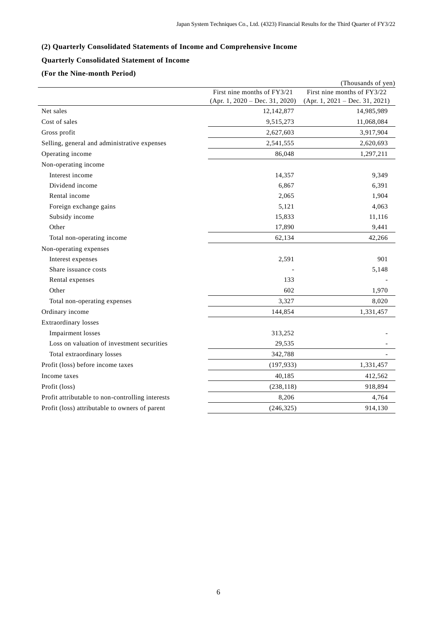# **(2) Quarterly Consolidated Statements of Income and Comprehensive Income**

# **Quarterly Consolidated Statement of Income**

# **(For the Nine-month Period)**

|                                                  |                                  | (Thousands of yen)               |
|--------------------------------------------------|----------------------------------|----------------------------------|
|                                                  | First nine months of FY3/21      | First nine months of FY3/22      |
|                                                  | $(Apr. 1, 2020 - Dec. 31, 2020)$ | $(Apr. 1, 2021 - Dec. 31, 2021)$ |
| Net sales                                        | 12,142,877                       | 14,985,989                       |
| Cost of sales                                    | 9,515,273                        | 11,068,084                       |
| Gross profit                                     | 2,627,603                        | 3,917,904                        |
| Selling, general and administrative expenses     | 2,541,555                        | 2,620,693                        |
| Operating income                                 | 86,048                           | 1,297,211                        |
| Non-operating income                             |                                  |                                  |
| Interest income                                  | 14,357                           | 9,349                            |
| Dividend income                                  | 6,867                            | 6,391                            |
| Rental income                                    | 2,065                            | 1,904                            |
| Foreign exchange gains                           | 5,121                            | 4,063                            |
| Subsidy income                                   | 15,833                           | 11,116                           |
| Other                                            | 17,890                           | 9,441                            |
| Total non-operating income                       | 62,134                           | 42,266                           |
| Non-operating expenses                           |                                  |                                  |
| Interest expenses                                | 2,591                            | 901                              |
| Share issuance costs                             |                                  | 5,148                            |
| Rental expenses                                  | 133                              |                                  |
| Other                                            | 602                              | 1,970                            |
| Total non-operating expenses                     | 3,327                            | 8,020                            |
| Ordinary income                                  | 144,854                          | 1,331,457                        |
| Extraordinary losses                             |                                  |                                  |
| <b>Impairment</b> losses                         | 313,252                          |                                  |
| Loss on valuation of investment securities       | 29,535                           |                                  |
| Total extraordinary losses                       | 342,788                          |                                  |
| Profit (loss) before income taxes                | (197, 933)                       | 1,331,457                        |
| Income taxes                                     | 40,185                           | 412,562                          |
| Profit (loss)                                    | (238, 118)                       | 918,894                          |
| Profit attributable to non-controlling interests | 8,206                            | 4,764                            |
| Profit (loss) attributable to owners of parent   | (246, 325)                       | 914,130                          |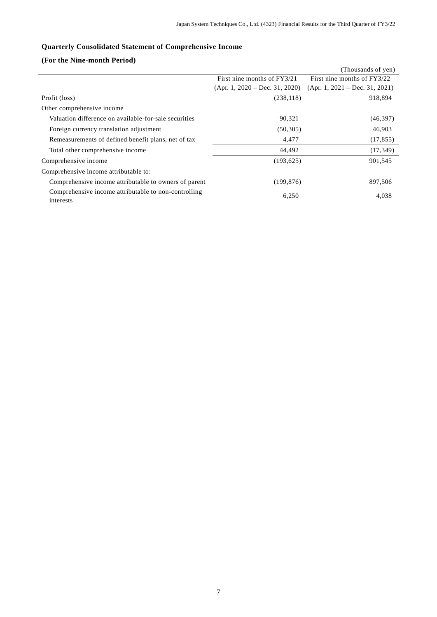# **Quarterly Consolidated Statement of Comprehensive Income**

# **(For the Nine-month Period)**

|                                                                   |                                  | (Thousands of yen)               |
|-------------------------------------------------------------------|----------------------------------|----------------------------------|
|                                                                   | First nine months of FY3/21      | First nine months of FY3/22      |
|                                                                   | $(Apr. 1, 2020 - Dec. 31, 2020)$ | $(Apr. 1, 2021 - Dec. 31, 2021)$ |
| Profit (loss)                                                     | (238, 118)                       | 918,894                          |
| Other comprehensive income                                        |                                  |                                  |
| Valuation difference on available-for-sale securities             | 90,321                           | (46,397)                         |
| Foreign currency translation adjustment                           | (50, 305)                        | 46,903                           |
| Remeasurements of defined benefit plans, net of tax               | 4,477                            | (17, 855)                        |
| Total other comprehensive income                                  | 44,492                           | (17, 349)                        |
| Comprehensive income                                              | (193, 625)                       | 901,545                          |
| Comprehensive income attributable to:                             |                                  |                                  |
| Comprehensive income attributable to owners of parent             | (199, 876)                       | 897,506                          |
| Comprehensive income attributable to non-controlling<br>interests | 6,250                            | 4,038                            |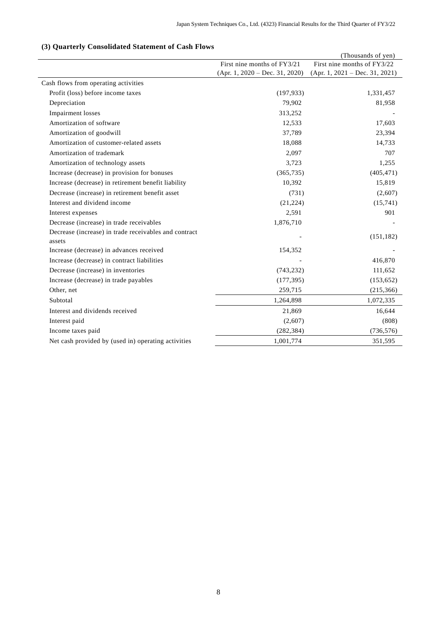# **(3) Quarterly Consolidated Statement of Cash Flows**

|                                                                 |                                  | (Thousands of yen)               |
|-----------------------------------------------------------------|----------------------------------|----------------------------------|
|                                                                 | First nine months of FY3/21      | First nine months of FY3/22      |
|                                                                 | $(Apr. 1, 2020 - Dec. 31, 2020)$ | $(Apr. 1, 2021 - Dec. 31, 2021)$ |
| Cash flows from operating activities                            |                                  |                                  |
| Profit (loss) before income taxes                               | (197, 933)                       | 1,331,457                        |
| Depreciation                                                    | 79,902                           | 81,958                           |
| <b>Impairment</b> losses                                        | 313,252                          |                                  |
| Amortization of software                                        | 12,533                           | 17,603                           |
| Amortization of goodwill                                        | 37,789                           | 23,394                           |
| Amortization of customer-related assets                         | 18,088                           | 14,733                           |
| Amortization of trademark                                       | 2,097                            | 707                              |
| Amortization of technology assets                               | 3,723                            | 1,255                            |
| Increase (decrease) in provision for bonuses                    | (365, 735)                       | (405, 471)                       |
| Increase (decrease) in retirement benefit liability             | 10,392                           | 15,819                           |
| Decrease (increase) in retirement benefit asset                 | (731)                            | (2,607)                          |
| Interest and dividend income                                    | (21, 224)                        | (15,741)                         |
| Interest expenses                                               | 2,591                            | 901                              |
| Decrease (increase) in trade receivables                        | 1,876,710                        |                                  |
| Decrease (increase) in trade receivables and contract<br>assets |                                  | (151, 182)                       |
| Increase (decrease) in advances received                        | 154,352                          |                                  |
| Increase (decrease) in contract liabilities                     |                                  | 416,870                          |
| Decrease (increase) in inventories                              | (743, 232)                       | 111,652                          |
| Increase (decrease) in trade payables                           | (177, 395)                       | (153, 652)                       |
| Other, net                                                      | 259,715                          | (215, 366)                       |
| Subtotal                                                        | 1,264,898                        | 1,072,335                        |
| Interest and dividends received                                 | 21,869                           | 16,644                           |
| Interest paid                                                   | (2,607)                          | (808)                            |
| Income taxes paid                                               | (282, 384)                       | (736, 576)                       |
| Net cash provided by (used in) operating activities             | 1,001,774                        | 351,595                          |
|                                                                 |                                  |                                  |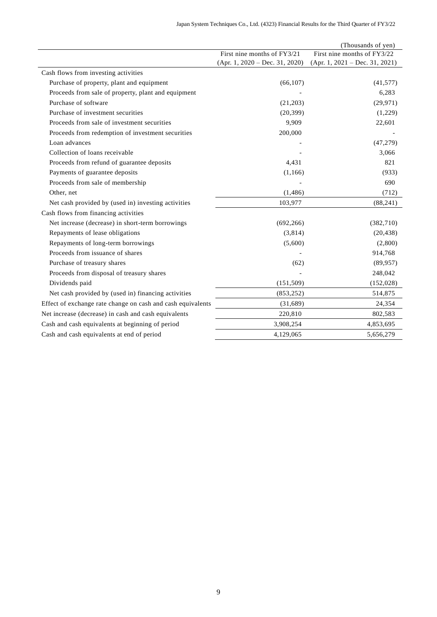|                                                             |                                  | (Thousands of yen)               |
|-------------------------------------------------------------|----------------------------------|----------------------------------|
|                                                             | First nine months of FY3/21      | First nine months of FY3/22      |
|                                                             | $(Apr. 1, 2020 - Dec. 31, 2020)$ | $(Apr. 1, 2021 - Dec. 31, 2021)$ |
| Cash flows from investing activities                        |                                  |                                  |
| Purchase of property, plant and equipment                   | (66, 107)                        | (41, 577)                        |
| Proceeds from sale of property, plant and equipment         |                                  | 6,283                            |
| Purchase of software                                        | (21,203)                         | (29, 971)                        |
| Purchase of investment securities                           | (20, 399)                        | (1,229)                          |
| Proceeds from sale of investment securities                 | 9,909                            | 22,601                           |
| Proceeds from redemption of investment securities           | 200,000                          |                                  |
| Loan advances                                               |                                  | (47, 279)                        |
| Collection of loans receivable                              |                                  | 3,066                            |
| Proceeds from refund of guarantee deposits                  | 4,431                            | 821                              |
| Payments of guarantee deposits                              | (1, 166)                         | (933)                            |
| Proceeds from sale of membership                            |                                  | 690                              |
| Other, net                                                  | (1, 486)                         | (712)                            |
| Net cash provided by (used in) investing activities         | 103,977                          | (88, 241)                        |
| Cash flows from financing activities                        |                                  |                                  |
| Net increase (decrease) in short-term borrowings            | (692, 266)                       | (382,710)                        |
| Repayments of lease obligations                             | (3,814)                          | (20, 438)                        |
| Repayments of long-term borrowings                          | (5,600)                          | (2,800)                          |
| Proceeds from issuance of shares                            |                                  | 914,768                          |
| Purchase of treasury shares                                 | (62)                             | (89, 957)                        |
| Proceeds from disposal of treasury shares                   |                                  | 248,042                          |
| Dividends paid                                              | (151, 509)                       | (152, 028)                       |
| Net cash provided by (used in) financing activities         | (853, 252)                       | 514,875                          |
| Effect of exchange rate change on cash and cash equivalents | (31,689)                         | 24,354                           |
| Net increase (decrease) in cash and cash equivalents        | 220,810                          | 802,583                          |
| Cash and cash equivalents at beginning of period            | 3,908,254                        | 4,853,695                        |
| Cash and cash equivalents at end of period                  | 4,129,065                        | 5,656,279                        |
|                                                             |                                  |                                  |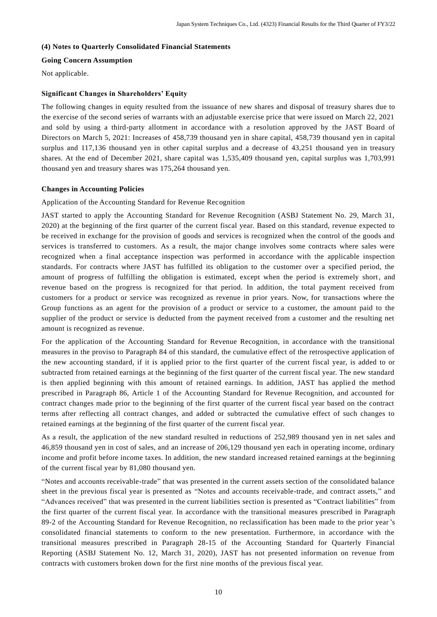### **(4) Notes to Quarterly Consolidated Financial Statements**

# **Going Concern Assumption**

Not applicable.

# **Significant Changes in Shareholders' Equity**

The following changes in equity resulted from the issuance of new shares and disposal of treasury shares due to the exercise of the second series of warrants with an adjustable exercise price that were issued on March 22, 2021 and sold by using a third-party allotment in accordance with a resolution approved by the JAST Board of Directors on March 5, 2021: Increases of 458,739 thousand yen in share capital, 458,739 thousand yen in capital surplus and 117,136 thousand yen in other capital surplus and a decrease of 43,251 thousand yen in treasury shares. At the end of December 2021, share capital was 1,535,409 thousand yen, capital surplus was 1,703,991 thousand yen and treasury shares was 175,264 thousand yen.

# **Changes in Accounting Policies**

Application of the Accounting Standard for Revenue Recognition

JAST started to apply the Accounting Standard for Revenue Recognition (ASBJ Statement No. 29, March 31, 2020) at the beginning of the first quarter of the current fiscal year. Based on this standard, revenue expected to be received in exchange for the provision of goods and services is recognized when the control of the goods and services is transferred to customers. As a result, the major change involves some contracts where sales were recognized when a final acceptance inspection was performed in accordance with the applicable inspection standards. For contracts where JAST has fulfilled its obligation to the customer over a specified period, the amount of progress of fulfilling the obligation is estimated, except when the period is extremely short , and revenue based on the progress is recognized for that period. In addition, the total payment received from customers for a product or service was recognized as revenue in prior years. Now, for transactions where the Group functions as an agent for the provision of a product or service to a customer, the amount paid to the supplier of the product or service is deducted from the payment received from a customer and the resulting net amount is recognized as revenue.

For the application of the Accounting Standard for Revenue Recognition, in accordance with the transitional measures in the proviso to Paragraph 84 of this standard, the cumulative effect of the retrospective application of the new accounting standard, if it is applied prior to the first quarter of the current fiscal year, is added to or subtracted from retained earnings at the beginning of the first quarter of the current fiscal year. The new standard is then applied beginning with this amount of retained earnings. In addition, JAST has applied the method prescribed in Paragraph 86, Article 1 of the Accounting Standard for Revenue Recognition, and accounted for contract changes made prior to the beginning of the first quarter of the current fiscal year based on the contract terms after reflecting all contract changes, and added or subtracted the cumulative effect of such changes to retained earnings at the beginning of the first quarter of the current fiscal year.

As a result, the application of the new standard resulted in reductions of 252,989 thousand yen in net sales and 46,859 thousand yen in cost of sales, and an increase of 206,129 thousand yen each in operating income, ordinary income and profit before income taxes. In addition, the new standard increased retained earnings at the beginning of the current fiscal year by 81,080 thousand yen.

"Notes and accounts receivable-trade" that was presented in the current assets section of the consolidated balance sheet in the previous fiscal year is presented as "Notes and accounts receivable-trade, and contract assets," and "Advances received" that was presented in the current liabilities section is presented as "Contract liabilities" from the first quarter of the current fiscal year. In accordance with the transitional measures prescribed in Paragraph 89-2 of the Accounting Standard for Revenue Recognition, no reclassification has been made to the prior year 's consolidated financial statements to conform to the new presentation. Furthermore, in accordance with the transitional measures prescribed in Paragraph 28-15 of the Accounting Standard for Quarterly Financial Reporting (ASBJ Statement No. 12, March 31, 2020), JAST has not presented information on revenue from contracts with customers broken down for the first nine months of the previous fiscal year.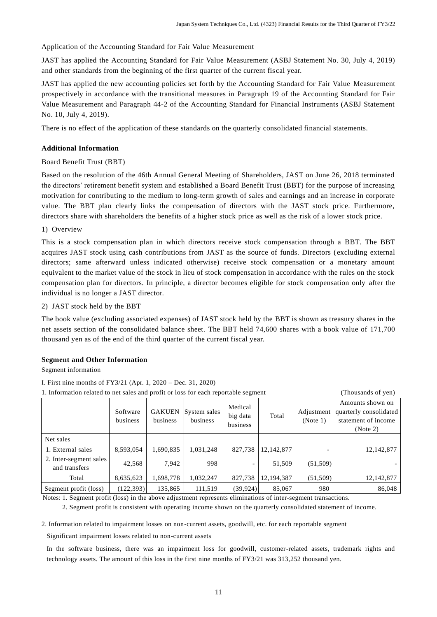Application of the Accounting Standard for Fair Value Measurement

JAST has applied the Accounting Standard for Fair Value Measurement (ASBJ Statement No. 30, July 4, 2019) and other standards from the beginning of the first quarter of the current fis cal year.

JAST has applied the new accounting policies set forth by the Accounting Standard for Fair Value Measurement prospectively in accordance with the transitional measures in Paragraph 19 of the Accounting Standard for Fair Value Measurement and Paragraph 44-2 of the Accounting Standard for Financial Instruments (ASBJ Statement No. 10, July 4, 2019).

There is no effect of the application of these standards on the quarterly consolidated financial statements.

# **Additional Information**

### Board Benefit Trust (BBT)

Based on the resolution of the 46th Annual General Meeting of Shareholders, JAST on June 26, 2018 terminated the directors' retirement benefit system and established a Board Benefit Trust (BBT) for the purpose of increasing motivation for contributing to the medium to long-term growth of sales and earnings and an increase in corporate value. The BBT plan clearly links the compensation of directors with the JAST stock price. Furthermore, directors share with shareholders the benefits of a higher stock price as well as the risk of a lower stock price.

### 1) Overview

This is a stock compensation plan in which directors receive stock compensation through a BBT. The BBT acquires JAST stock using cash contributions from JAST as the source of funds. Directors ( excluding external directors; same afterward unless indicated otherwise) receive stock compensation or a monetary amount equivalent to the market value of the stock in lieu of stock compensation in accordance with the rules on the stock compensation plan for directors. In principle, a director becomes eligible for stock compensation only after the individual is no longer a JAST director.

### 2) JAST stock held by the BBT

The book value (excluding associated expenses) of JAST stock held by the BBT is shown as treasury shares in the net assets section of the consolidated balance sheet. The BBT held 74,600 shares with a book value of 171,700 thousand yen as of the end of the third quarter of the current fiscal year.

### **Segment and Other Information**

Segment information

| 1. Information related to net sales and profit or loss for each reportable segment |                      |                           |                          |                                 | (Thousands of yen) |                        |                                                                               |
|------------------------------------------------------------------------------------|----------------------|---------------------------|--------------------------|---------------------------------|--------------------|------------------------|-------------------------------------------------------------------------------|
|                                                                                    | Software<br>business | <b>GAKUEN</b><br>business | System sales<br>business | Medical<br>big data<br>business | Total              | Adjustment<br>(Note 1) | Amounts shown on<br>quarterly consolidated<br>statement of income<br>(Note 2) |
| Net sales                                                                          |                      |                           |                          |                                 |                    |                        |                                                                               |
| 1. External sales                                                                  | 8,593,054            | 1,690,835                 | 1,031,248                | 827,738                         | 12,142,877         |                        | 12, 142, 877                                                                  |
| 2. Inter-segment sales<br>and transfers                                            | 42.568               | 7.942                     | 998                      | $\overline{\phantom{0}}$        | 51,509             | (51,509)               |                                                                               |
| Total                                                                              | 8,635,623            | 1,698,778                 | 1,032,247                | 827,738                         | 12,194,387         | (51,509)               | 12,142,877                                                                    |
| Segment profit (loss)                                                              | (122, 393)           | 135,865                   | 111,519                  | (39, 924)                       | 85,067             | 980                    | 86,048                                                                        |

I. First nine months of FY3/21 (Apr. 1, 2020 – Dec. 31, 2020)

Notes: 1. Segment profit (loss) in the above adjustment represents eliminations of inter-segment transactions.

2. Segment profit is consistent with operating income shown on the quarterly consolidated statement of income.

2. Information related to impairment losses on non-current assets, goodwill, etc. for each reportable segment

Significant impairment losses related to non-current assets

In the software business, there was an impairment loss for goodwill, customer-related assets, trademark rights and technology assets. The amount of this loss in the first nine months of FY3/21 was 313,252 thousand yen.